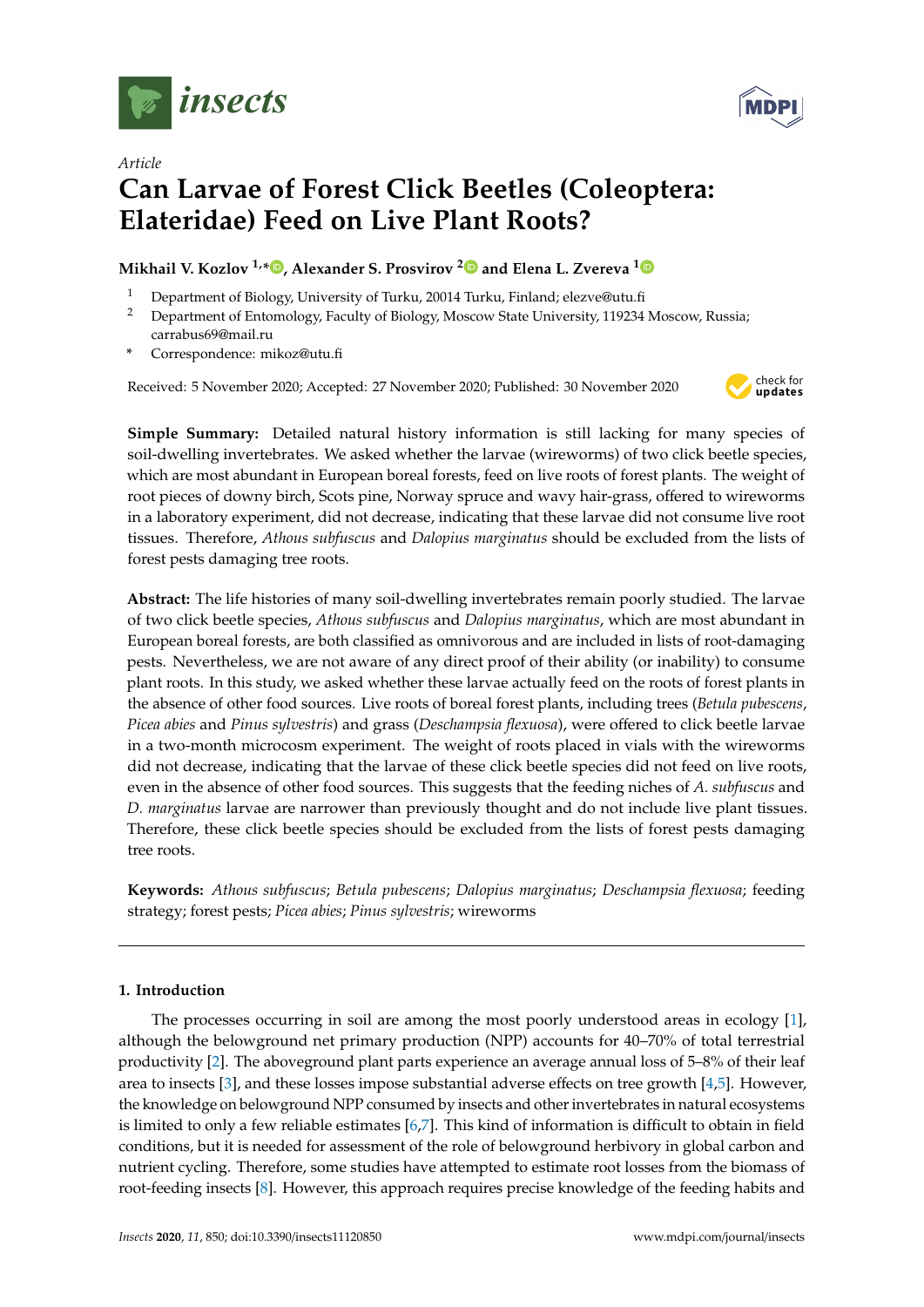



# *Article* **Can Larvae of Forest Click Beetles (Coleoptera: Elateridae) Feed on Live Plant Roots?**

# **Mikhail V. Kozlov 1,\* [,](https://orcid.org/0000-0002-9500-4244) Alexander S. Prosvirov [2](https://orcid.org/0000-0002-1415-548X) and Elena L. Zvereva [1](https://orcid.org/0000-0003-2934-3421)**

- <sup>1</sup> Department of Biology, University of Turku, 20014 Turku, Finland; elezve@utu.fi
- <sup>2</sup> Department of Entomology, Faculty of Biology, Moscow State University, 119234 Moscow, Russia; carrabus69@mail.ru
- **\*** Correspondence: mikoz@utu.fi

Received: 5 November 2020; Accepted: 27 November 2020; Published: 30 November 2020



**Simple Summary:** Detailed natural history information is still lacking for many species of soil-dwelling invertebrates. We asked whether the larvae (wireworms) of two click beetle species, which are most abundant in European boreal forests, feed on live roots of forest plants. The weight of root pieces of downy birch, Scots pine, Norway spruce and wavy hair-grass, offered to wireworms in a laboratory experiment, did not decrease, indicating that these larvae did not consume live root tissues. Therefore, *Athous subfuscus* and *Dalopius marginatus* should be excluded from the lists of forest pests damaging tree roots.

**Abstract:** The life histories of many soil-dwelling invertebrates remain poorly studied. The larvae of two click beetle species, *Athous subfuscus* and *Dalopius marginatus*, which are most abundant in European boreal forests, are both classified as omnivorous and are included in lists of root-damaging pests. Nevertheless, we are not aware of any direct proof of their ability (or inability) to consume plant roots. In this study, we asked whether these larvae actually feed on the roots of forest plants in the absence of other food sources. Live roots of boreal forest plants, including trees (*Betula pubescens*, *Picea abies* and *Pinus sylvestris*) and grass (*Deschampsia flexuosa*), were offered to click beetle larvae in a two-month microcosm experiment. The weight of roots placed in vials with the wireworms did not decrease, indicating that the larvae of these click beetle species did not feed on live roots, even in the absence of other food sources. This suggests that the feeding niches of *A. subfuscus* and *D. marginatus* larvae are narrower than previously thought and do not include live plant tissues. Therefore, these click beetle species should be excluded from the lists of forest pests damaging tree roots.

**Keywords:** *Athous subfuscus*; *Betula pubescens*; *Dalopius marginatus*; *Deschampsia flexuosa*; feeding strategy; forest pests; *Picea abies*; *Pinus sylvestris*; wireworms

# **1. Introduction**

The processes occurring in soil are among the most poorly understood areas in ecology [\[1\]](#page-5-0), although the belowground net primary production (NPP) accounts for 40–70% of total terrestrial productivity [\[2\]](#page-5-1). The aboveground plant parts experience an average annual loss of 5–8% of their leaf area to insects [\[3\]](#page-6-0), and these losses impose substantial adverse effects on tree growth [\[4,](#page-6-1)[5\]](#page-6-2). However, the knowledge on belowground NPP consumed by insects and other invertebrates in natural ecosystems is limited to only a few reliable estimates [\[6,](#page-6-3)[7\]](#page-6-4). This kind of information is difficult to obtain in field conditions, but it is needed for assessment of the role of belowground herbivory in global carbon and nutrient cycling. Therefore, some studies have attempted to estimate root losses from the biomass of root-feeding insects [\[8\]](#page-6-5). However, this approach requires precise knowledge of the feeding habits and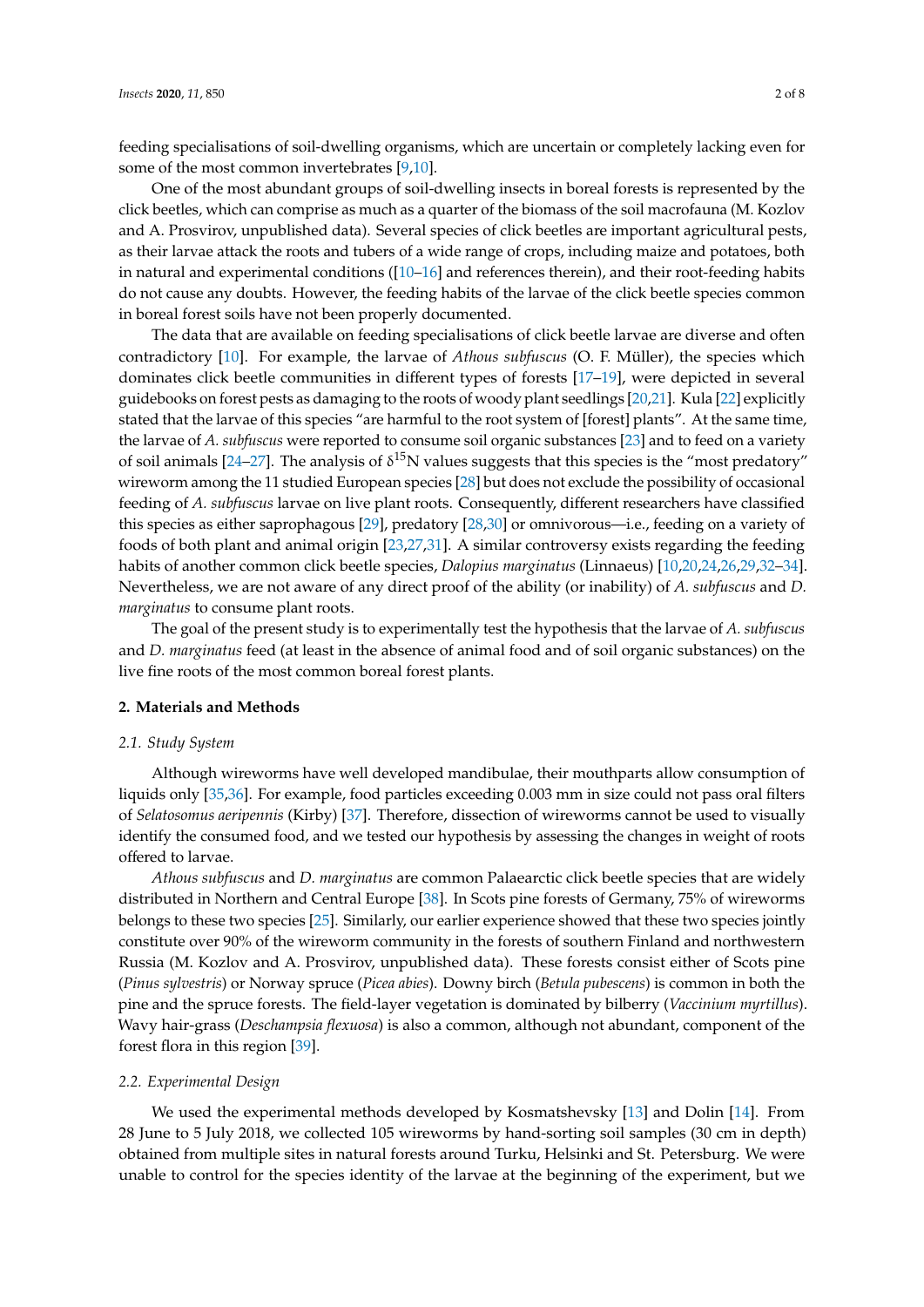feeding specialisations of soil-dwelling organisms, which are uncertain or completely lacking even for some of the most common invertebrates [\[9,](#page-6-6)[10\]](#page-6-7).

One of the most abundant groups of soil-dwelling insects in boreal forests is represented by the click beetles, which can comprise as much as a quarter of the biomass of the soil macrofauna (M. Kozlov and A. Prosvirov, unpublished data). Several species of click beetles are important agricultural pests, as their larvae attack the roots and tubers of a wide range of crops, including maize and potatoes, both in natural and experimental conditions  $([10-16]$  $([10-16]$  and references therein), and their root-feeding habits do not cause any doubts. However, the feeding habits of the larvae of the click beetle species common in boreal forest soils have not been properly documented.

The data that are available on feeding specialisations of click beetle larvae are diverse and often contradictory [\[10\]](#page-6-7). For example, the larvae of *Athous subfuscus* (O. F. Müller), the species which dominates click beetle communities in different types of forests [\[17](#page-6-9)[–19\]](#page-6-10), were depicted in several guidebooks on forest pests as damaging to the roots of woody plant seedlings [\[20](#page-6-11)[,21\]](#page-6-12). Kula [\[22\]](#page-6-13) explicitly stated that the larvae of this species "are harmful to the root system of [forest] plants". At the same time, the larvae of *A. subfuscus* were reported to consume soil organic substances [\[23\]](#page-6-14) and to feed on a variety of soil animals [\[24](#page-6-15)[–27\]](#page-6-16). The analysis of  $\delta^{15}N$  values suggests that this species is the "most predatory" wireworm among the 11 studied European species [\[28\]](#page-6-17) but does not exclude the possibility of occasional feeding of *A. subfuscus* larvae on live plant roots. Consequently, different researchers have classified this species as either saprophagous [\[29\]](#page-7-0), predatory [\[28](#page-6-17)[,30\]](#page-7-1) or omnivorous—i.e., feeding on a variety of foods of both plant and animal origin [\[23,](#page-6-14)[27,](#page-6-16)[31\]](#page-7-2). A similar controversy exists regarding the feeding habits of another common click beetle species, *Dalopius marginatus* (Linnaeus) [\[10,](#page-6-7)[20,](#page-6-11)[24,](#page-6-15)[26,](#page-6-18)[29,](#page-7-0)[32–](#page-7-3)[34\]](#page-7-4). Nevertheless, we are not aware of any direct proof of the ability (or inability) of *A. subfuscus* and *D. marginatus* to consume plant roots.

The goal of the present study is to experimentally test the hypothesis that the larvae of *A. subfuscus* and *D. marginatus* feed (at least in the absence of animal food and of soil organic substances) on the live fine roots of the most common boreal forest plants.

## **2. Materials and Methods**

#### *2.1. Study System*

Although wireworms have well developed mandibulae, their mouthparts allow consumption of liquids only [\[35,](#page-7-5)[36\]](#page-7-6). For example, food particles exceeding 0.003 mm in size could not pass oral filters of *Selatosomus aeripennis* (Kirby) [\[37\]](#page-7-7). Therefore, dissection of wireworms cannot be used to visually identify the consumed food, and we tested our hypothesis by assessing the changes in weight of roots offered to larvae.

*Athous subfuscus* and *D. marginatus* are common Palaearctic click beetle species that are widely distributed in Northern and Central Europe [\[38\]](#page-7-8). In Scots pine forests of Germany, 75% of wireworms belongs to these two species [\[25\]](#page-6-19). Similarly, our earlier experience showed that these two species jointly constitute over 90% of the wireworm community in the forests of southern Finland and northwestern Russia (M. Kozlov and A. Prosvirov, unpublished data). These forests consist either of Scots pine (*Pinus sylvestris*) or Norway spruce (*Picea abies*). Downy birch (*Betula pubescens*) is common in both the pine and the spruce forests. The field-layer vegetation is dominated by bilberry (*Vaccinium myrtillus*). Wavy hair-grass (*Deschampsia flexuosa*) is also a common, although not abundant, component of the forest flora in this region [\[39\]](#page-7-9).

#### *2.2. Experimental Design*

We used the experimental methods developed by Kosmatshevsky [\[13\]](#page-6-20) and Dolin [\[14\]](#page-6-21). From 28 June to 5 July 2018, we collected 105 wireworms by hand-sorting soil samples (30 cm in depth) obtained from multiple sites in natural forests around Turku, Helsinki and St. Petersburg. We were unable to control for the species identity of the larvae at the beginning of the experiment, but we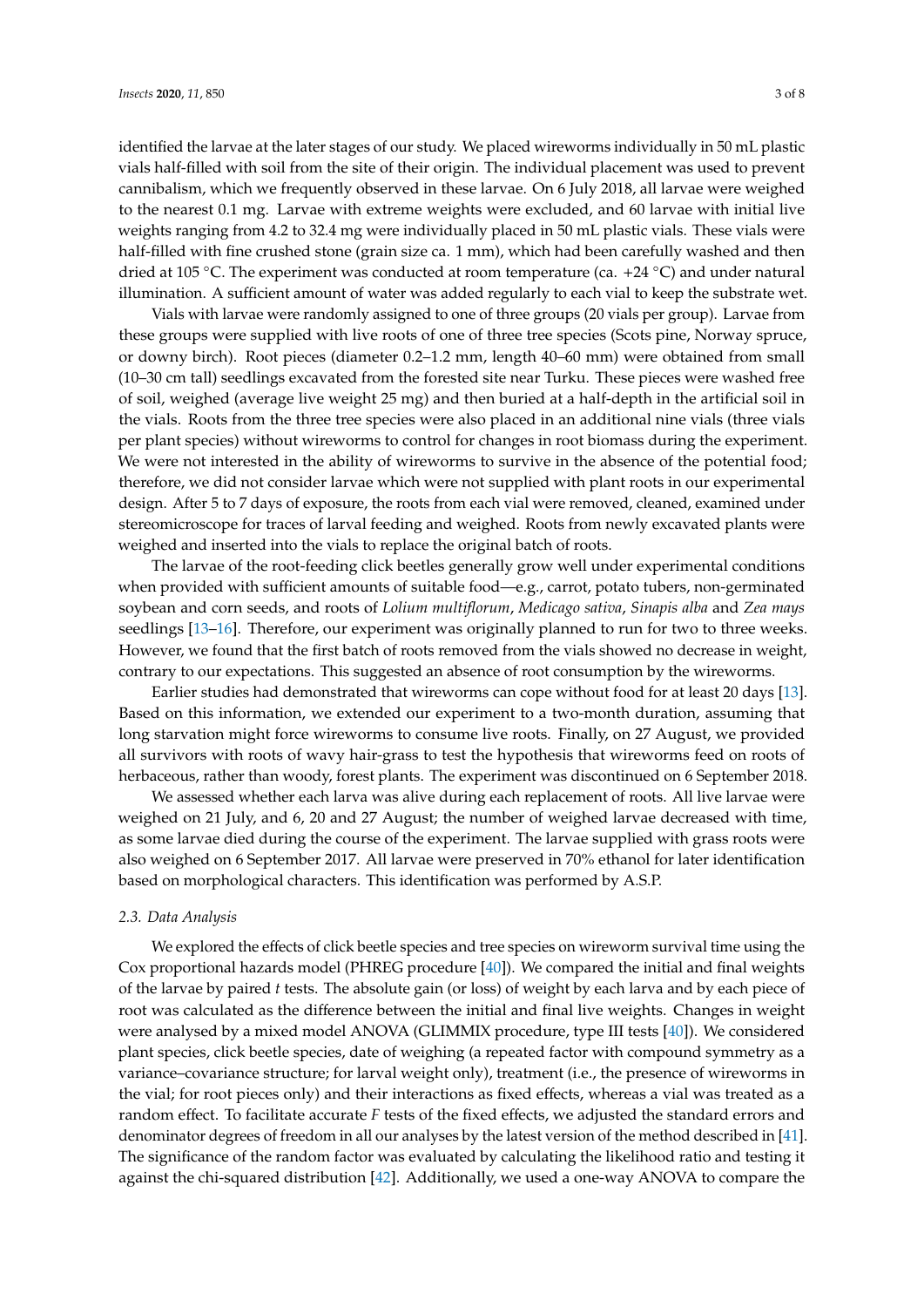identified the larvae at the later stages of our study. We placed wireworms individually in 50 mL plastic vials half-filled with soil from the site of their origin. The individual placement was used to prevent cannibalism, which we frequently observed in these larvae. On 6 July 2018, all larvae were weighed to the nearest 0.1 mg. Larvae with extreme weights were excluded, and 60 larvae with initial live weights ranging from 4.2 to 32.4 mg were individually placed in 50 mL plastic vials. These vials were half-filled with fine crushed stone (grain size ca. 1 mm), which had been carefully washed and then dried at 105 °C. The experiment was conducted at room temperature (ca. +24 °C) and under natural illumination. A sufficient amount of water was added regularly to each vial to keep the substrate wet.

Vials with larvae were randomly assigned to one of three groups (20 vials per group). Larvae from these groups were supplied with live roots of one of three tree species (Scots pine, Norway spruce, or downy birch). Root pieces (diameter 0.2–1.2 mm, length 40–60 mm) were obtained from small (10–30 cm tall) seedlings excavated from the forested site near Turku. These pieces were washed free of soil, weighed (average live weight 25 mg) and then buried at a half-depth in the artificial soil in the vials. Roots from the three tree species were also placed in an additional nine vials (three vials per plant species) without wireworms to control for changes in root biomass during the experiment. We were not interested in the ability of wireworms to survive in the absence of the potential food; therefore, we did not consider larvae which were not supplied with plant roots in our experimental design. After 5 to 7 days of exposure, the roots from each vial were removed, cleaned, examined under stereomicroscope for traces of larval feeding and weighed. Roots from newly excavated plants were weighed and inserted into the vials to replace the original batch of roots.

The larvae of the root-feeding click beetles generally grow well under experimental conditions when provided with sufficient amounts of suitable food—e.g., carrot, potato tubers, non-germinated soybean and corn seeds, and roots of *Lolium multiflorum*, *Medicago sativa*, *Sinapis alba* and *Zea mays* seedlings [\[13–](#page-6-20)[16\]](#page-6-8). Therefore, our experiment was originally planned to run for two to three weeks. However, we found that the first batch of roots removed from the vials showed no decrease in weight, contrary to our expectations. This suggested an absence of root consumption by the wireworms.

Earlier studies had demonstrated that wireworms can cope without food for at least 20 days [\[13\]](#page-6-20). Based on this information, we extended our experiment to a two-month duration, assuming that long starvation might force wireworms to consume live roots. Finally, on 27 August, we provided all survivors with roots of wavy hair-grass to test the hypothesis that wireworms feed on roots of herbaceous, rather than woody, forest plants. The experiment was discontinued on 6 September 2018.

We assessed whether each larva was alive during each replacement of roots. All live larvae were weighed on 21 July, and 6, 20 and 27 August; the number of weighed larvae decreased with time, as some larvae died during the course of the experiment. The larvae supplied with grass roots were also weighed on 6 September 2017. All larvae were preserved in 70% ethanol for later identification based on morphological characters. This identification was performed by A.S.P.

## *2.3. Data Analysis*

We explored the effects of click beetle species and tree species on wireworm survival time using the Cox proportional hazards model (PHREG procedure [\[40\]](#page-7-10)). We compared the initial and final weights of the larvae by paired *t* tests. The absolute gain (or loss) of weight by each larva and by each piece of root was calculated as the difference between the initial and final live weights. Changes in weight were analysed by a mixed model ANOVA (GLIMMIX procedure, type III tests [\[40\]](#page-7-10)). We considered plant species, click beetle species, date of weighing (a repeated factor with compound symmetry as a variance–covariance structure; for larval weight only), treatment (i.e., the presence of wireworms in the vial; for root pieces only) and their interactions as fixed effects, whereas a vial was treated as a random effect. To facilitate accurate *F* tests of the fixed effects, we adjusted the standard errors and denominator degrees of freedom in all our analyses by the latest version of the method described in [\[41\]](#page-7-11). The significance of the random factor was evaluated by calculating the likelihood ratio and testing it against the chi-squared distribution [\[42\]](#page-7-12). Additionally, we used a one-way ANOVA to compare the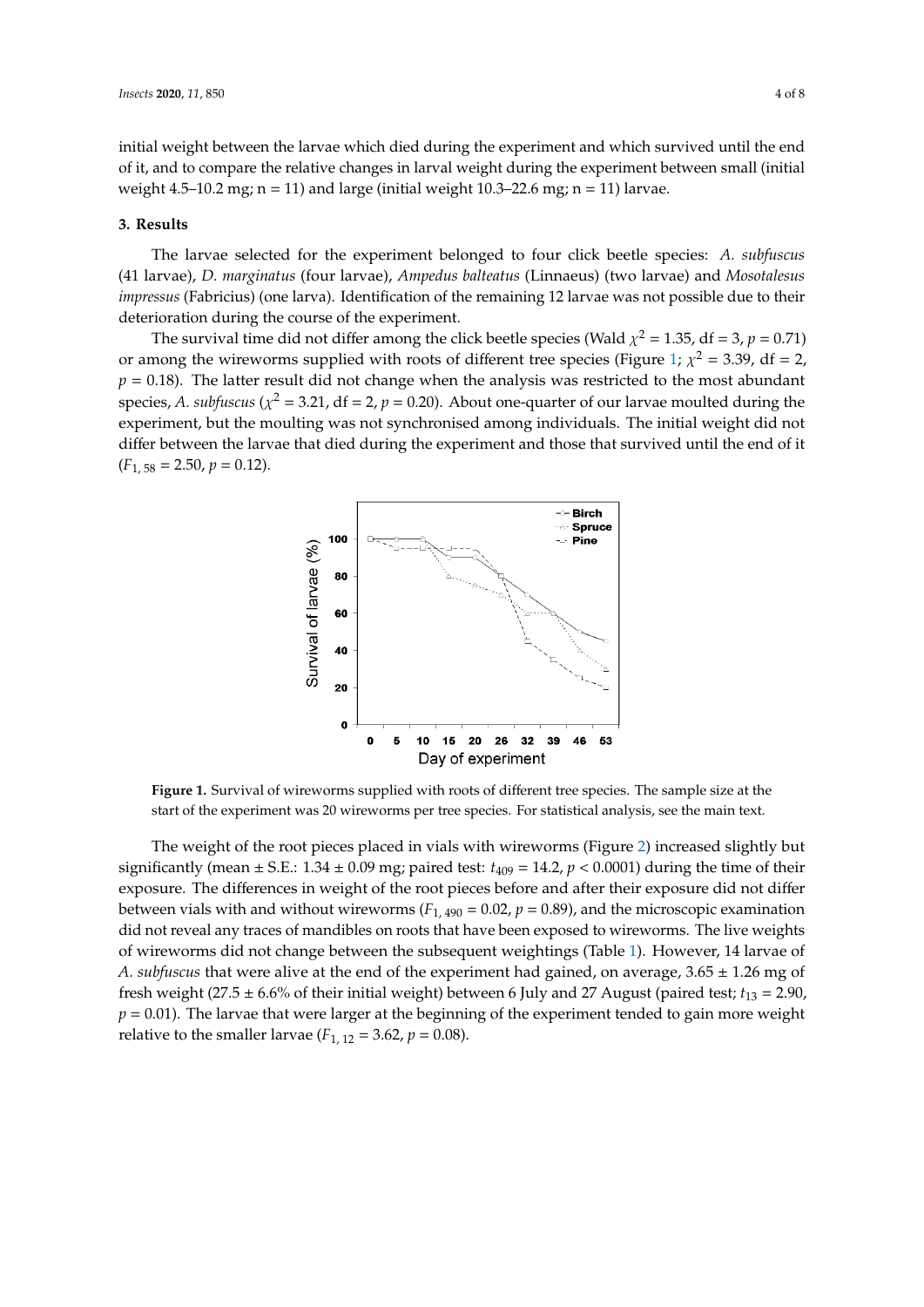initial weight between the larvae which died during the experiment and which survived until the end of it, and to compare the relative changes in larval weight during the experiment between small (initial weight  $4.5-10.2$  mg;  $n = 11$ ) and large (initial weight  $10.3-22.6$  mg;  $n = 11$ ) larvae.

#### **3. Results 3. Results**

The larvae selected for the experiment belonged to four click beetle species: *A. subfuscus* The larvae selected for the experiment belonged to four click beetle species: *A. subfuscus* (41 (41 larvae), *D. marginatus* (four larvae), *Ampedus balteatus* (Linnaeus) (two larvae) and *Mosotalesus impressus* (Fabricius) (one larva). Identification of the remaining 12 larvae was not possible due to their *impressus* (Fabricius) (one larva). Identification of the remaining 12 larvae was not possible due to deterioration during the course of the experiment.

<span id="page-3-0"></span>The survival time did not differ among the click beetle species (Wald  $\chi^2 = 1.35$ , df = 3,  $p = 0.71$ ) or among the wireworms supplied with roots of different tree species (Figure [1;](#page-3-0)  $\chi^2 = 3.39$ , df = 2,  $p = 0.18$ ). The latter result did not change when the analysis was restricted to the most abundant species, A. subfuscus ( $\chi^2$  = 3.21, df = 2, p = 0.20). About one-quarter of our larvae moulted during the experiment, but the moulting was not synchronised among individuals. The initial weight did not experiment, but the moulting was not synchronised among individuals. The initial weight did not differ between the larvae that died during the experiment and those that survived until the end of it differ between the larvae that died during the experiment and those that survived until the end of it (*F*1, 58 = 2.50, *p* = 0.12). (*F*1, 58 = 2.50, *p* = 0.12).



**Figure 1.** Survival of wireworms supplied with roots of different tree species. The sample size at the **Figure 1.** Survival of wireworms supplied with roots of different tree species. The sample size at the start of the experiment was 20 wireworms per tree species. For statistical analysis, see the main text. start of the experiment was 20 wireworms per tree species. For statistical analysis, see the main text.

The weight of the root pieces placed in vials with wireworms (Figure 2) increased slightly but The weight of the root pieces placed in vials with wireworms (Figure [2\)](#page-4-0) increased slightly but significantly (mean  $\pm$  S.E.: 1.34  $\pm$  0.09 mg; paired test:  $t_{409}$  = 14.2,  $p$  < 0.0001) during the time of their exposure. The differences in weight of the root pieces before and after their exposure did not differ exposure. The differences in weight of the root pieces before and after their exposure did not differ between vials with and without wireworms ( $F_{1,490}$  = 0.02,  $p$  = 0.89), and the microscopic examination did not reveal any traces of mandibles on roots that have been exposed to wireworms. The live did not reveal any traces of mandibles on roots that have been exposed to wireworms. The live weights of wireworms did not change between the subsequent weightings (Table [1\)](#page-4-1). However, 14 larvae of A. subfuscus that were alive at the end of the experiment had gained, on average, 3.65  $\pm$  1.26 mg of fresh weight (27.5  $\pm$  6.6% of their initial weight) between 6 July and 27 August (paired test;  $t_{13} = 2.90$ , = 2.90, *p* = 0.01). The larvae that were larger at the beginning of the experiment tended to gain more *p* = 0.01). The larvae that were larger at the beginning of the experiment tended to gain more weight relative to the smaller larvae ( $F_{1, 12} = 3.62$ ,  $p = 0.08$ ).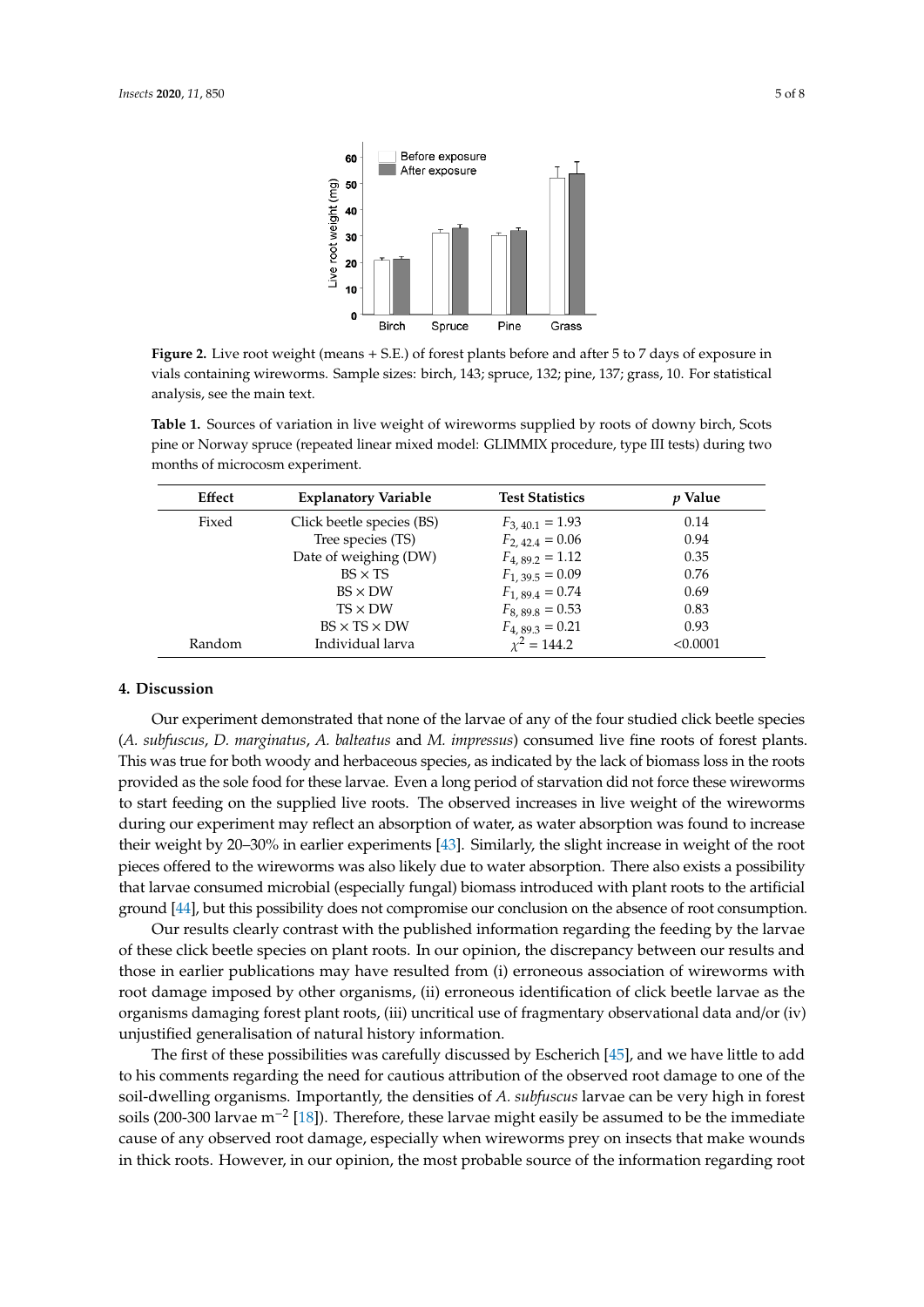<span id="page-4-0"></span>

**Figure 2.** Live root weight (means + S.E.) of forest plants before and after 5 to 7 days of exposure in **Figure 2.** Live root weight (means + S.E.) of forest plants before and after 5 to 7 days of exposure in vials containing wireworms. Sample sizes: birch, 143; spruce, 132; pine, 137; grass, 10. For statistical vials containing wireworms. Sample sizes: birch, 143; spruce, 132; pine, 137; grass, 10. For statistical analysis, see the main text. analysis, see the main text.

<span id="page-4-1"></span>**Table 1.** Sources of variation in live weight of wireworms supplied by roots of downy birch, Scots pine or Norway spruce (repeated linear mixed model: GLIMMIX procedure, type III tests) during two pine or Norway spruce (repeated linear mixed model: GLIMMIX procedure, type III tests) during two months of microcosm experiment. months of microcosm experiment. **Table 1.** Sources of variation in live weight of wireworms supplied by roots of downy birch, Scots

| Effect | <b>Explanatory Variable</b> | <b>Test Statistics</b> | <i>v</i> Value |
|--------|-----------------------------|------------------------|----------------|
| Fixed  | Click beetle species (BS)   | $F_{3,40,1} = 1.93$    | 0.14           |
|        | Tree species (TS)           | $F_{2,42,4} = 0.06$    | 0.94           |
|        | Date of weighing (DW)       | $F_{4.89.2} = 1.12$    | 0.35           |
|        | $BS \times TS$              | $F_{1,39,5} = 0.09$    | 0.76           |
|        | $BS \times DW$              | $F_{1,89,4} = 0.74$    | 0.69           |
|        | $TS \times DW$              | $F_{8,89,8} = 0.53$    | 0.83           |
|        | $BS \times TS \times DW$    | $F_{4,89,3} = 0.21$    | 0.93           |
| Random | Individual larva            | $x^2 = 144.2$          | < 0.0001       |

## **4. Discussion**

Our experiment demonstrated that none of the larvae of any of the four studied click beetle species (*A. subfuscus, D. marginatus, A. balteatus* and *M. impressus*) consumed live fine roots of forest plants. This was true for both woody and herbaceous species, as indicated by the lack of biomass loss in the roots provided as the sole food for these larvae. Even a long period of starvation did not force these wireworms to start feeding on the supplied live roots. The observed increases in live weight of the wireworms during our experiment may reflect an absorption of water, as water absorption was found to increase their weight by 20–30% in earlier experiments [\[43\]](#page-7-13). Similarly, the slight increase in weight of the root pieces offered to the wireworms was also likely due to water absorption. There also exists a possibility that larvae consumed microbial (especially fungal) biomass introduced with plant roots to the artificial ground [\[44\]](#page-7-14), but this possibility does not compromise our conclusion on the absence of root consumption.

Our results clearly contrast with the published information regarding the feeding by the larvae of these click beetle species on plant roots. In our opinion, the discrepancy between our results and those in earlier publications may have resulted from (i) erroneous association of wireworms with root damage imposed by other organisms, (ii) erroneous identification of click beetle larvae as the organisms damaging forest plant roots, (iii) uncritical use of fragmentary observational data and/or (iv) unjustified generalisation of natural history information.

The first of these possibilities was carefully discussed by Escherich [\[45\]](#page-7-15), and we have little to add to his comments regarding the need for cautious attribution of the observed root damage to one of the soil-dwelling organisms. Importantly, the densities of *A. subfuscus* larvae can be very high in forest soils (200-300 larvae m<sup>−2</sup> [\[18\]](#page-6-22)). Therefore, these larvae might easily be assumed to be the immediate cause of any observed root damage, especially when wireworms prey on insects that make wounds in thick roots. However, in our opinion, the most probable source of the information regarding root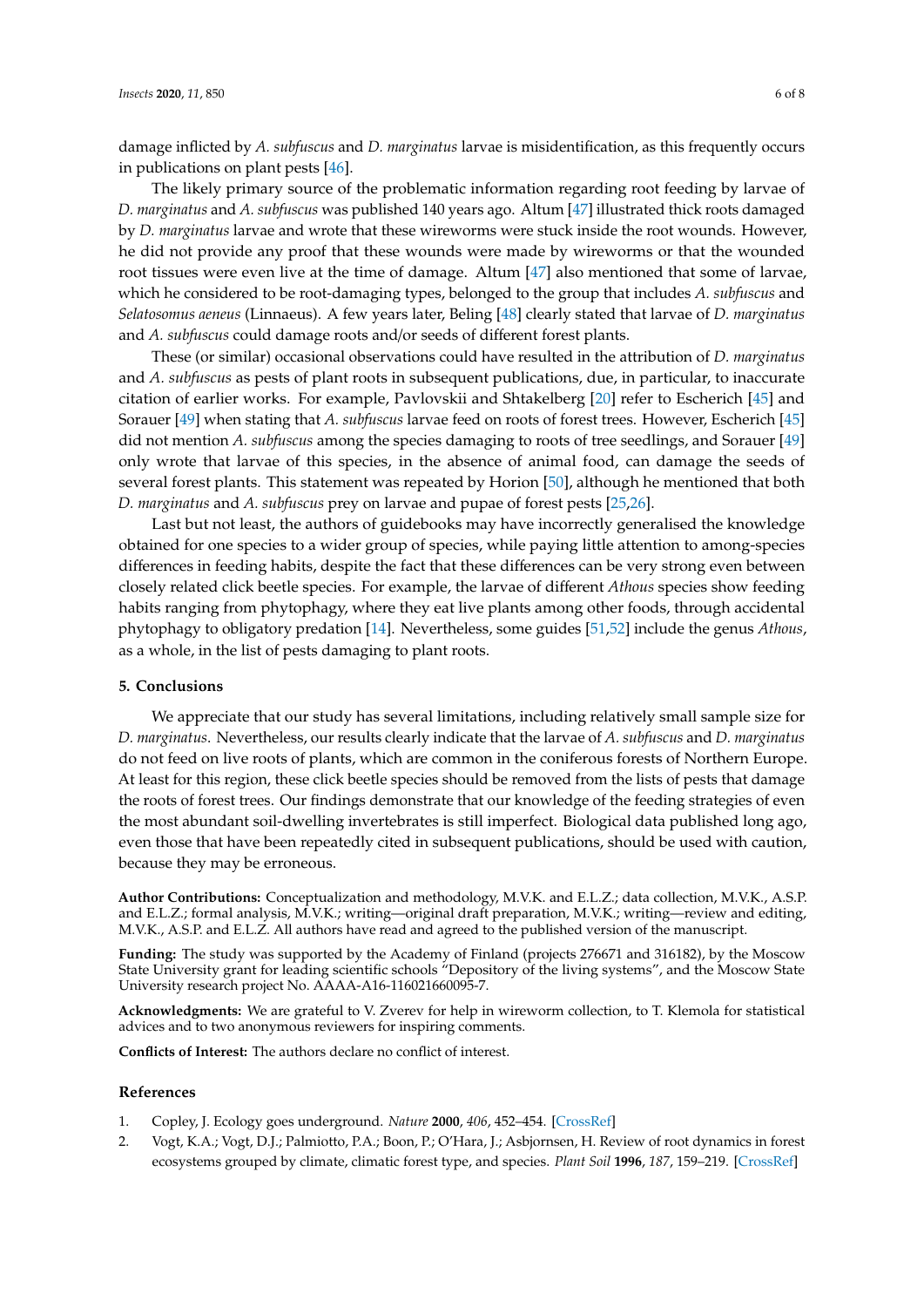damage inflicted by *A. subfuscus* and *D. marginatus* larvae is misidentification, as this frequently occurs in publications on plant pests [\[46\]](#page-7-16).

The likely primary source of the problematic information regarding root feeding by larvae of *D. marginatus* and *A. subfuscus* was published 140 years ago. Altum [\[47\]](#page-7-17) illustrated thick roots damaged by *D. marginatus* larvae and wrote that these wireworms were stuck inside the root wounds. However, he did not provide any proof that these wounds were made by wireworms or that the wounded root tissues were even live at the time of damage. Altum [\[47\]](#page-7-17) also mentioned that some of larvae, which he considered to be root-damaging types, belonged to the group that includes *A. subfuscus* and *Selatosomus aeneus* (Linnaeus). A few years later, Beling [\[48\]](#page-7-18) clearly stated that larvae of *D. marginatus* and *A. subfuscus* could damage roots and/or seeds of different forest plants.

These (or similar) occasional observations could have resulted in the attribution of *D. marginatus* and *A. subfuscus* as pests of plant roots in subsequent publications, due, in particular, to inaccurate citation of earlier works. For example, Pavlovskii and Shtakelberg [\[20\]](#page-6-11) refer to Escherich [\[45\]](#page-7-15) and Sorauer [\[49\]](#page-7-19) when stating that *A. subfuscus* larvae feed on roots of forest trees. However, Escherich [\[45\]](#page-7-15) did not mention *A. subfuscus* among the species damaging to roots of tree seedlings, and Sorauer [\[49\]](#page-7-19) only wrote that larvae of this species, in the absence of animal food, can damage the seeds of several forest plants. This statement was repeated by Horion [\[50\]](#page-7-20), although he mentioned that both *D. marginatus* and *A. subfuscus* prey on larvae and pupae of forest pests [\[25,](#page-6-19)[26\]](#page-6-18).

Last but not least, the authors of guidebooks may have incorrectly generalised the knowledge obtained for one species to a wider group of species, while paying little attention to among-species differences in feeding habits, despite the fact that these differences can be very strong even between closely related click beetle species. For example, the larvae of different *Athous* species show feeding habits ranging from phytophagy, where they eat live plants among other foods, through accidental phytophagy to obligatory predation [\[14\]](#page-6-21). Nevertheless, some guides [\[51](#page-7-21)[,52\]](#page-7-22) include the genus *Athous*, as a whole, in the list of pests damaging to plant roots.

## **5. Conclusions**

We appreciate that our study has several limitations, including relatively small sample size for *D. marginatus*. Nevertheless, our results clearly indicate that the larvae of *A. subfuscus* and *D. marginatus* do not feed on live roots of plants, which are common in the coniferous forests of Northern Europe. At least for this region, these click beetle species should be removed from the lists of pests that damage the roots of forest trees. Our findings demonstrate that our knowledge of the feeding strategies of even the most abundant soil-dwelling invertebrates is still imperfect. Biological data published long ago, even those that have been repeatedly cited in subsequent publications, should be used with caution, because they may be erroneous.

**Author Contributions:** Conceptualization and methodology, M.V.K. and E.L.Z.; data collection, M.V.K., A.S.P. and E.L.Z.; formal analysis, M.V.K.; writing—original draft preparation, M.V.K.; writing—review and editing, M.V.K., A.S.P. and E.L.Z. All authors have read and agreed to the published version of the manuscript.

**Funding:** The study was supported by the Academy of Finland (projects 276671 and 316182), by the Moscow State University grant for leading scientific schools "Depository of the living systems", and the Moscow State University research project No. AAAA-A16-116021660095-7.

**Acknowledgments:** We are grateful to V. Zverev for help in wireworm collection, to T. Klemola for statistical advices and to two anonymous reviewers for inspiring comments.

**Conflicts of Interest:** The authors declare no conflict of interest.

#### **References**

- <span id="page-5-0"></span>1. Copley, J. Ecology goes underground. *Nature* **2000**, *406*, 452–454. [\[CrossRef\]](http://dx.doi.org/10.1038/35020131)
- <span id="page-5-1"></span>2. Vogt, K.A.; Vogt, D.J.; Palmiotto, P.A.; Boon, P.; O'Hara, J.; Asbjornsen, H. Review of root dynamics in forest ecosystems grouped by climate, climatic forest type, and species. *Plant Soil* **1996**, *187*, 159–219. [\[CrossRef\]](http://dx.doi.org/10.1007/BF00017088)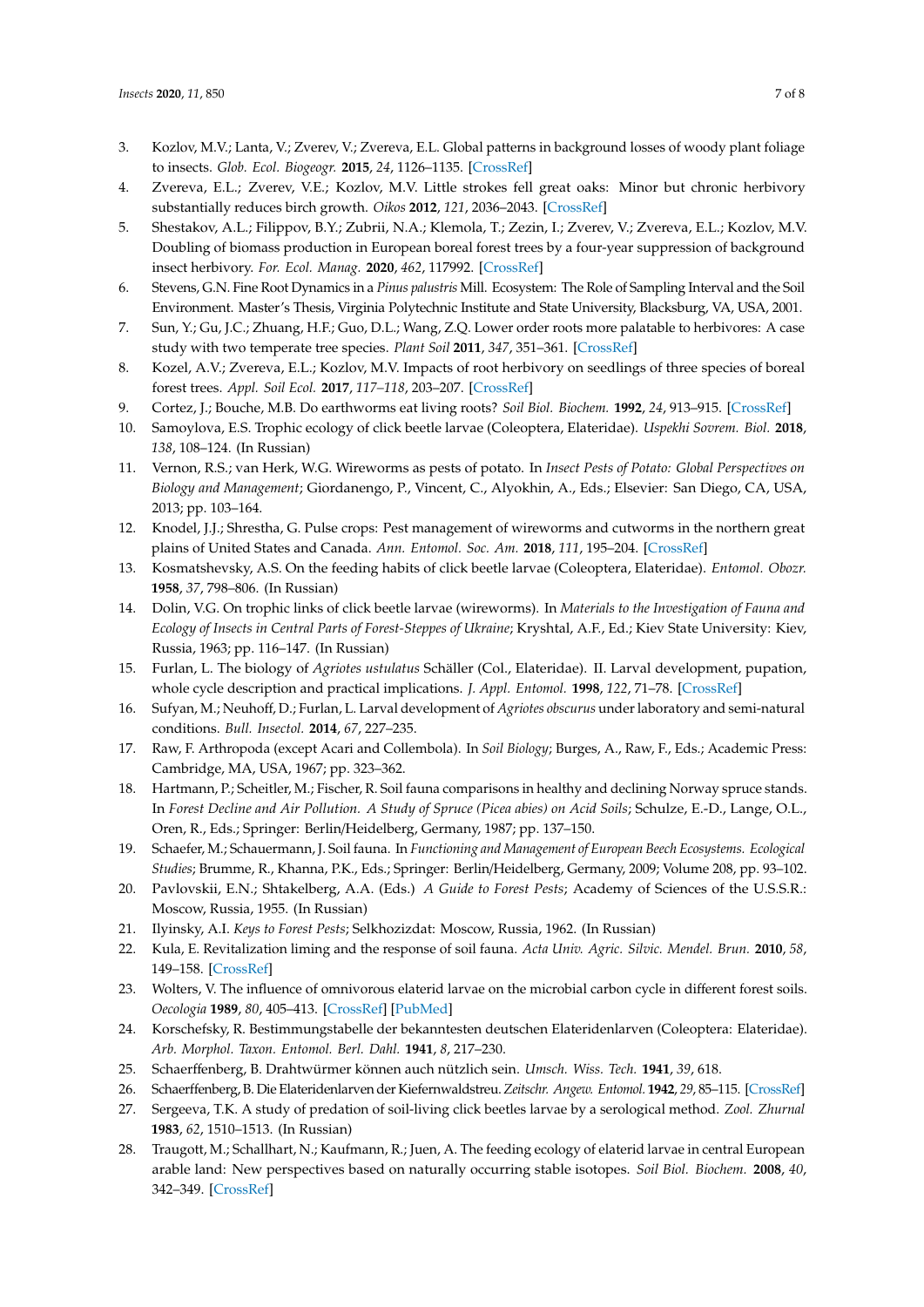- <span id="page-6-0"></span>3. Kozlov, M.V.; Lanta, V.; Zverev, V.; Zvereva, E.L. Global patterns in background losses of woody plant foliage to insects. *Glob. Ecol. Biogeogr.* **2015**, *24*, 1126–1135. [\[CrossRef\]](http://dx.doi.org/10.1111/geb.12347)
- <span id="page-6-1"></span>4. Zvereva, E.L.; Zverev, V.E.; Kozlov, M.V. Little strokes fell great oaks: Minor but chronic herbivory substantially reduces birch growth. *Oikos* **2012**, *121*, 2036–2043. [\[CrossRef\]](http://dx.doi.org/10.1111/j.1600-0706.2012.20688.x)
- <span id="page-6-2"></span>5. Shestakov, A.L.; Filippov, B.Y.; Zubrii, N.A.; Klemola, T.; Zezin, I.; Zverev, V.; Zvereva, E.L.; Kozlov, M.V. Doubling of biomass production in European boreal forest trees by a four-year suppression of background insect herbivory. *For. Ecol. Manag.* **2020**, *462*, 117992. [\[CrossRef\]](http://dx.doi.org/10.1016/j.foreco.2020.117992)
- <span id="page-6-3"></span>6. Stevens, G.N. Fine Root Dynamics in a *Pinus palustris* Mill. Ecosystem: The Role of Sampling Interval and the Soil Environment. Master's Thesis, Virginia Polytechnic Institute and State University, Blacksburg, VA, USA, 2001.
- <span id="page-6-4"></span>7. Sun, Y.; Gu, J.C.; Zhuang, H.F.; Guo, D.L.; Wang, Z.Q. Lower order roots more palatable to herbivores: A case study with two temperate tree species. *Plant Soil* **2011**, *347*, 351–361. [\[CrossRef\]](http://dx.doi.org/10.1007/s11104-011-0854-3)
- <span id="page-6-5"></span>8. Kozel, A.V.; Zvereva, E.L.; Kozlov, M.V. Impacts of root herbivory on seedlings of three species of boreal forest trees. *Appl. Soil Ecol.* **2017**, *117–118*, 203–207. [\[CrossRef\]](http://dx.doi.org/10.1016/j.apsoil.2017.05.011)
- <span id="page-6-6"></span>9. Cortez, J.; Bouche, M.B. Do earthworms eat living roots? *Soil Biol. Biochem.* **1992**, *24*, 913–915. [\[CrossRef\]](http://dx.doi.org/10.1016/0038-0717(92)90014-O)
- <span id="page-6-7"></span>10. Samoylova, E.S. Trophic ecology of click beetle larvae (Coleoptera, Elateridae). *Uspekhi Sovrem. Biol.* **2018**, *138*, 108–124. (In Russian)
- 11. Vernon, R.S.; van Herk, W.G. Wireworms as pests of potato. In *Insect Pests of Potato: Global Perspectives on Biology and Management*; Giordanengo, P., Vincent, C., Alyokhin, A., Eds.; Elsevier: San Diego, CA, USA, 2013; pp. 103–164.
- 12. Knodel, J.J.; Shrestha, G. Pulse crops: Pest management of wireworms and cutworms in the northern great plains of United States and Canada. *Ann. Entomol. Soc. Am.* **2018**, *111*, 195–204. [\[CrossRef\]](http://dx.doi.org/10.1093/aesa/say018)
- <span id="page-6-20"></span>13. Kosmatshevsky, A.S. On the feeding habits of click beetle larvae (Coleoptera, Elateridae). *Entomol. Obozr.* **1958**, *37*, 798–806. (In Russian)
- <span id="page-6-21"></span>14. Dolin, V.G. On trophic links of click beetle larvae (wireworms). In *Materials to the Investigation of Fauna and Ecology of Insects in Central Parts of Forest-Steppes of Ukraine*; Kryshtal, A.F., Ed.; Kiev State University: Kiev, Russia, 1963; pp. 116–147. (In Russian)
- 15. Furlan, L. The biology of *Agriotes ustulatus* Schäller (Col., Elateridae). II. Larval development, pupation, whole cycle description and practical implications. *J. Appl. Entomol.* **1998**, *122*, 71–78. [\[CrossRef\]](http://dx.doi.org/10.1111/j.1439-0418.1998.tb01464.x)
- <span id="page-6-8"></span>16. Sufyan, M.; Neuhoff, D.; Furlan, L. Larval development of *Agriotes obscurus* under laboratory and semi-natural conditions. *Bull. Insectol.* **2014**, *67*, 227–235.
- <span id="page-6-9"></span>17. Raw, F. Arthropoda (except Acari and Collembola). In *Soil Biology*; Burges, A., Raw, F., Eds.; Academic Press: Cambridge, MA, USA, 1967; pp. 323–362.
- <span id="page-6-22"></span>18. Hartmann, P.; Scheitler, M.; Fischer, R. Soil fauna comparisons in healthy and declining Norway spruce stands. In *Forest Decline and Air Pollution. A Study of Spruce (Picea abies) on Acid Soils*; Schulze, E.-D., Lange, O.L., Oren, R., Eds.; Springer: Berlin/Heidelberg, Germany, 1987; pp. 137–150.
- <span id="page-6-10"></span>19. Schaefer, M.; Schauermann, J. Soil fauna. In *Functioning and Management of European Beech Ecosystems. Ecological Studies*; Brumme, R., Khanna, P.K., Eds.; Springer: Berlin/Heidelberg, Germany, 2009; Volume 208, pp. 93–102.
- <span id="page-6-11"></span>20. Pavlovskii, E.N.; Shtakelberg, A.A. (Eds.) *A Guide to Forest Pests*; Academy of Sciences of the U.S.S.R.: Moscow, Russia, 1955. (In Russian)
- <span id="page-6-12"></span>21. Ilyinsky, A.I. *Keys to Forest Pests*; Selkhozizdat: Moscow, Russia, 1962. (In Russian)
- <span id="page-6-13"></span>22. Kula, E. Revitalization liming and the response of soil fauna. *Acta Univ. Agric. Silvic. Mendel. Brun.* **2010**, *58*, 149–158. [\[CrossRef\]](http://dx.doi.org/10.11118/actaun201058040149)
- <span id="page-6-14"></span>23. Wolters, V. The influence of omnivorous elaterid larvae on the microbial carbon cycle in different forest soils. *Oecologia* **1989**, *80*, 405–413. [\[CrossRef\]](http://dx.doi.org/10.1007/BF00379044) [\[PubMed\]](http://www.ncbi.nlm.nih.gov/pubmed/28312070)
- <span id="page-6-15"></span>24. Korschefsky, R. Bestimmungstabelle der bekanntesten deutschen Elateridenlarven (Coleoptera: Elateridae). *Arb. Morphol. Taxon. Entomol. Berl. Dahl.* **1941**, *8*, 217–230.
- <span id="page-6-19"></span>25. Schaerffenberg, B. Drahtwürmer können auch nützlich sein. *Umsch. Wiss. Tech.* **1941**, *39*, 618.
- <span id="page-6-18"></span>26. Schaerffenberg, B. Die Elateridenlarven der Kiefernwaldstreu.*Zeitschr. Angew. Entomol.* **1942**, *29*, 85–115. [\[CrossRef\]](http://dx.doi.org/10.1111/j.1439-0418.1942.tb00527.x)
- <span id="page-6-16"></span>27. Sergeeva, T.K. A study of predation of soil-living click beetles larvae by a serological method. *Zool. Zhurnal* **1983**, *62*, 1510–1513. (In Russian)
- <span id="page-6-17"></span>28. Traugott, M.; Schallhart, N.; Kaufmann, R.; Juen, A. The feeding ecology of elaterid larvae in central European arable land: New perspectives based on naturally occurring stable isotopes. *Soil Biol. Biochem.* **2008**, *40*, 342–349. [\[CrossRef\]](http://dx.doi.org/10.1016/j.soilbio.2007.08.013)